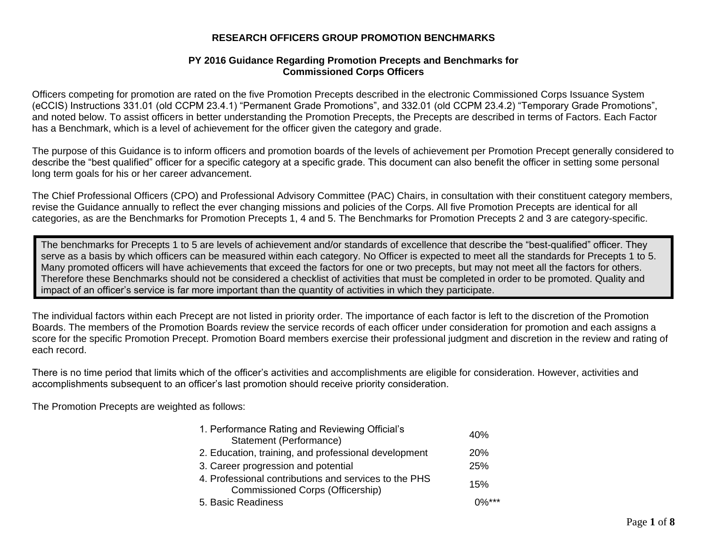#### **RESEARCH OFFICERS GROUP PROMOTION BENCHMARKS**

#### **PY 2016 Guidance Regarding Promotion Precepts and Benchmarks for Commissioned Corps Officers**

Officers competing for promotion are rated on the five Promotion Precepts described in the electronic Commissioned Corps Issuance System (eCCIS) Instructions 331.01 (old CCPM 23.4.1) "Permanent Grade Promotions", and 332.01 (old CCPM 23.4.2) "Temporary Grade Promotions", and noted below. To assist officers in better understanding the Promotion Precepts, the Precepts are described in terms of Factors. Each Factor has a Benchmark, which is a level of achievement for the officer given the category and grade.

The purpose of this Guidance is to inform officers and promotion boards of the levels of achievement per Promotion Precept generally considered to describe the "best qualified" officer for a specific category at a specific grade. This document can also benefit the officer in setting some personal long term goals for his or her career advancement.

The Chief Professional Officers (CPO) and Professional Advisory Committee (PAC) Chairs, in consultation with their constituent category members, revise the Guidance annually to reflect the ever changing missions and policies of the Corps. All five Promotion Precepts are identical for all categories, as are the Benchmarks for Promotion Precepts 1, 4 and 5. The Benchmarks for Promotion Precepts 2 and 3 are category-specific.

The benchmarks for Precepts 1 to 5 are levels of achievement and/or standards of excellence that describe the "best-qualified" officer. They serve as a basis by which officers can be measured within each category. No Officer is expected to meet all the standards for Precepts 1 to 5. Many promoted officers will have achievements that exceed the factors for one or two precepts, but may not meet all the factors for others. Therefore these Benchmarks should not be considered a checklist of activities that must be completed in order to be promoted. Quality and impact of an officer's service is far more important than the quantity of activities in which they participate.

The individual factors within each Precept are not listed in priority order. The importance of each factor is left to the discretion of the Promotion Boards. The members of the Promotion Boards review the service records of each officer under consideration for promotion and each assigns a score for the specific Promotion Precept. Promotion Board members exercise their professional judgment and discretion in the review and rating of each record.

There is no time period that limits which of the officer's activities and accomplishments are eligible for consideration. However, activities and accomplishments subsequent to an officer's last promotion should receive priority consideration.

The Promotion Precepts are weighted as follows:

| 1. Performance Rating and Reviewing Official's                                                   | 40%      |
|--------------------------------------------------------------------------------------------------|----------|
| Statement (Performance)                                                                          |          |
| 2. Education, training, and professional development                                             | 20%      |
| 3. Career progression and potential                                                              | 25%      |
| 4. Professional contributions and services to the PHS<br><b>Commissioned Corps (Officership)</b> | 15%      |
| 5. Basic Readiness                                                                               | $0\%***$ |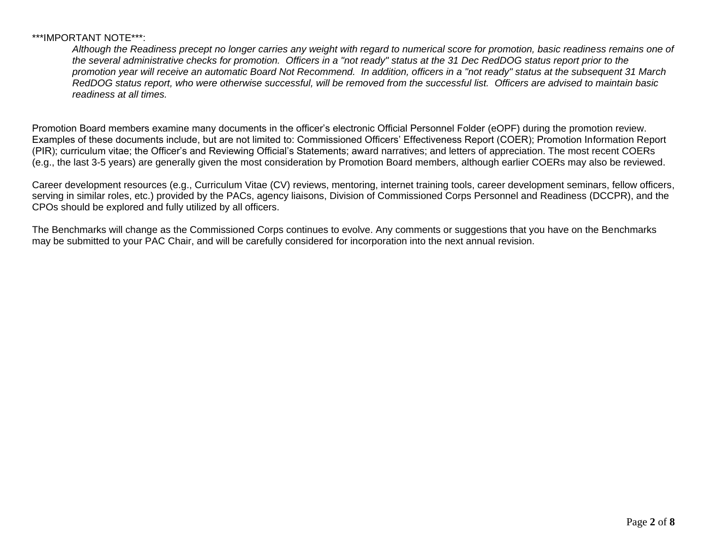#### \*\*\*IMPORTANT NOTE\*\*\*:

*Although the Readiness precept no longer carries any weight with regard to numerical score for promotion, basic readiness remains one of the several administrative checks for promotion. Officers in a "not ready" status at the 31 Dec RedDOG status report prior to the promotion year will receive an automatic Board Not Recommend. In addition, officers in a "not ready" status at the subsequent 31 March RedDOG status report, who were otherwise successful, will be removed from the successful list. Officers are advised to maintain basic readiness at all times.*

Promotion Board members examine many documents in the officer's electronic Official Personnel Folder (eOPF) during the promotion review. Examples of these documents include, but are not limited to: Commissioned Officers' Effectiveness Report (COER); Promotion Information Report (PIR); curriculum vitae; the Officer's and Reviewing Official's Statements; award narratives; and letters of appreciation. The most recent COERs (e.g., the last 3-5 years) are generally given the most consideration by Promotion Board members, although earlier COERs may also be reviewed.

Career development resources (e.g., Curriculum Vitae (CV) reviews, mentoring, internet training tools, career development seminars, fellow officers, serving in similar roles, etc.) provided by the PACs, agency liaisons, Division of Commissioned Corps Personnel and Readiness (DCCPR), and the CPOs should be explored and fully utilized by all officers.

The Benchmarks will change as the Commissioned Corps continues to evolve. Any comments or suggestions that you have on the Benchmarks may be submitted to your PAC Chair, and will be carefully considered for incorporation into the next annual revision.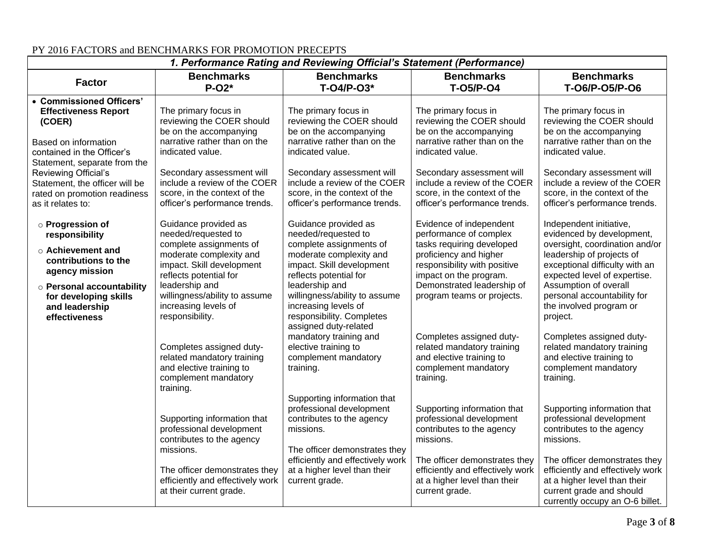| 1. Performance Rating and Reviewing Official's Statement (Performance)                                                                               |                                                                                                                                   |                                                                                                                                   |                                                                                                                                              |                                                                                                                                                                  |
|------------------------------------------------------------------------------------------------------------------------------------------------------|-----------------------------------------------------------------------------------------------------------------------------------|-----------------------------------------------------------------------------------------------------------------------------------|----------------------------------------------------------------------------------------------------------------------------------------------|------------------------------------------------------------------------------------------------------------------------------------------------------------------|
| <b>Factor</b>                                                                                                                                        | <b>Benchmarks</b><br>$P-O2*$                                                                                                      | <b>Benchmarks</b><br>T-04/P-03*                                                                                                   | <b>Benchmarks</b><br><b>T-05/P-04</b>                                                                                                        | <b>Benchmarks</b><br>T-06/P-05/P-06                                                                                                                              |
| • Commissioned Officers'<br><b>Effectiveness Report</b><br>(COER)<br>Based on information                                                            | The primary focus in<br>reviewing the COER should<br>be on the accompanying<br>narrative rather than on the                       | The primary focus in<br>reviewing the COER should<br>be on the accompanying<br>narrative rather than on the                       | The primary focus in<br>reviewing the COER should<br>be on the accompanying<br>narrative rather than on the                                  | The primary focus in<br>reviewing the COER should<br>be on the accompanying<br>narrative rather than on the                                                      |
| contained in the Officer's<br>Statement, separate from the<br>Reviewing Official's<br>Statement, the officer will be<br>rated on promotion readiness | indicated value.<br>Secondary assessment will<br>include a review of the COER<br>score, in the context of the                     | indicated value.<br>Secondary assessment will<br>include a review of the COER<br>score, in the context of the                     | indicated value.<br>Secondary assessment will<br>include a review of the COER<br>score, in the context of the                                | indicated value.<br>Secondary assessment will<br>include a review of the COER<br>score, in the context of the                                                    |
| as it relates to:<br>○ Progression of<br>responsibility<br>$\circ$ Achievement and                                                                   | officer's performance trends.<br>Guidance provided as<br>needed/requested to<br>complete assignments of                           | officer's performance trends.<br>Guidance provided as<br>needed/requested to<br>complete assignments of                           | officer's performance trends.<br>Evidence of independent<br>performance of complex<br>tasks requiring developed                              | officer's performance trends.<br>Independent initiative,<br>evidenced by development,<br>oversight, coordination and/or                                          |
| contributions to the<br>agency mission<br>o Personal accountability<br>for developing skills                                                         | moderate complexity and<br>impact. Skill development<br>reflects potential for<br>leadership and<br>willingness/ability to assume | moderate complexity and<br>impact. Skill development<br>reflects potential for<br>leadership and<br>willingness/ability to assume | proficiency and higher<br>responsibility with positive<br>impact on the program.<br>Demonstrated leadership of<br>program teams or projects. | leadership of projects of<br>exceptional difficulty with an<br>expected level of expertise.<br>Assumption of overall<br>personal accountability for              |
| and leadership<br>effectiveness                                                                                                                      | increasing levels of<br>responsibility.                                                                                           | increasing levels of<br>responsibility. Completes<br>assigned duty-related<br>mandatory training and                              | Completes assigned duty-                                                                                                                     | the involved program or<br>project.<br>Completes assigned duty-                                                                                                  |
|                                                                                                                                                      | Completes assigned duty-<br>related mandatory training<br>and elective training to<br>complement mandatory<br>training.           | elective training to<br>complement mandatory<br>training.                                                                         | related mandatory training<br>and elective training to<br>complement mandatory<br>training.                                                  | related mandatory training<br>and elective training to<br>complement mandatory<br>training.                                                                      |
|                                                                                                                                                      | Supporting information that<br>professional development<br>contributes to the agency                                              | Supporting information that<br>professional development<br>contributes to the agency<br>missions.                                 | Supporting information that<br>professional development<br>contributes to the agency<br>missions.                                            | Supporting information that<br>professional development<br>contributes to the agency<br>missions.                                                                |
|                                                                                                                                                      | missions.<br>The officer demonstrates they<br>efficiently and effectively work<br>at their current grade.                         | The officer demonstrates they<br>efficiently and effectively work<br>at a higher level than their<br>current grade.               | The officer demonstrates they<br>efficiently and effectively work<br>at a higher level than their<br>current grade.                          | The officer demonstrates they<br>efficiently and effectively work<br>at a higher level than their<br>current grade and should<br>currently occupy an O-6 billet. |

## PY 2016 FACTORS and BENCHMARKS FOR PROMOTION PRECEPTS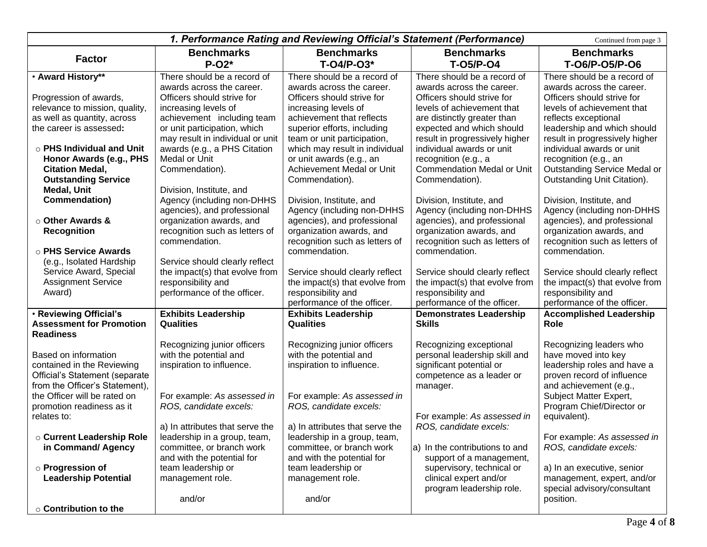| 1. Performance Rating and Reviewing Official's Statement (Performance)<br>Continued from page 3 |                                                  |                                                       |                                                           |                                                       |
|-------------------------------------------------------------------------------------------------|--------------------------------------------------|-------------------------------------------------------|-----------------------------------------------------------|-------------------------------------------------------|
|                                                                                                 | <b>Benchmarks</b>                                | <b>Benchmarks</b>                                     | <b>Benchmarks</b>                                         | <b>Benchmarks</b>                                     |
| <b>Factor</b>                                                                                   | $P-O2*$                                          | T-04/P-03*                                            | <b>T-05/P-04</b>                                          | T-06/P-05/P-06                                        |
| • Award History**                                                                               | There should be a record of                      | There should be a record of                           | There should be a record of                               | There should be a record of                           |
|                                                                                                 | awards across the career.                        | awards across the career.                             | awards across the career.                                 | awards across the career.                             |
| Progression of awards,                                                                          | Officers should strive for                       | Officers should strive for                            | Officers should strive for                                | Officers should strive for                            |
| relevance to mission, quality,                                                                  | increasing levels of                             | increasing levels of                                  | levels of achievement that                                | levels of achievement that                            |
| as well as quantity, across                                                                     | achievement including team                       | achievement that reflects                             | are distinctly greater than                               | reflects exceptional                                  |
| the career is assessed:                                                                         | or unit participation, which                     | superior efforts, including                           | expected and which should                                 | leadership and which should                           |
|                                                                                                 | may result in individual or unit                 | team or unit participation,                           | result in progressively higher                            | result in progressively higher                        |
| $\circ$ PHS Individual and Unit                                                                 | awards (e.g., a PHS Citation                     | which may result in individual                        | individual awards or unit                                 | individual awards or unit                             |
| Honor Awards (e.g., PHS<br><b>Citation Medal,</b>                                               | Medal or Unit<br>Commendation).                  | or unit awards (e.g., an<br>Achievement Medal or Unit | recognition (e.g., a<br><b>Commendation Medal or Unit</b> | recognition (e.g., an<br>Outstanding Service Medal or |
| <b>Outstanding Service</b>                                                                      |                                                  | Commendation).                                        | Commendation).                                            | Outstanding Unit Citation).                           |
| Medal, Unit                                                                                     | Division, Institute, and                         |                                                       |                                                           |                                                       |
| Commendation)                                                                                   | Agency (including non-DHHS                       | Division, Institute, and                              | Division, Institute, and                                  | Division, Institute, and                              |
|                                                                                                 | agencies), and professional                      | Agency (including non-DHHS                            | Agency (including non-DHHS                                | Agency (including non-DHHS                            |
| ○ Other Awards &                                                                                | organization awards, and                         | agencies), and professional                           | agencies), and professional                               | agencies), and professional                           |
| <b>Recognition</b>                                                                              | recognition such as letters of                   | organization awards, and                              | organization awards, and                                  | organization awards, and                              |
|                                                                                                 | commendation.                                    | recognition such as letters of                        | recognition such as letters of                            | recognition such as letters of                        |
| o PHS Service Awards                                                                            |                                                  | commendation.                                         | commendation.                                             | commendation.                                         |
| (e.g., Isolated Hardship                                                                        | Service should clearly reflect                   |                                                       |                                                           |                                                       |
| Service Award, Special                                                                          | the impact(s) that evolve from                   | Service should clearly reflect                        | Service should clearly reflect                            | Service should clearly reflect                        |
| <b>Assignment Service</b>                                                                       | responsibility and                               | the impact(s) that evolve from                        | the impact(s) that evolve from                            | the impact(s) that evolve from                        |
| Award)                                                                                          | performance of the officer.                      | responsibility and                                    | responsibility and                                        | responsibility and                                    |
|                                                                                                 |                                                  | performance of the officer.                           | performance of the officer.                               | performance of the officer.                           |
| . Reviewing Official's<br><b>Assessment for Promotion</b>                                       | <b>Exhibits Leadership</b><br><b>Qualities</b>   | <b>Exhibits Leadership</b><br><b>Qualities</b>        | <b>Demonstrates Leadership</b><br><b>Skills</b>           | <b>Accomplished Leadership</b><br>Role                |
| <b>Readiness</b>                                                                                |                                                  |                                                       |                                                           |                                                       |
|                                                                                                 | Recognizing junior officers                      | Recognizing junior officers                           | Recognizing exceptional                                   | Recognizing leaders who                               |
| Based on information                                                                            | with the potential and                           | with the potential and                                | personal leadership skill and                             | have moved into key                                   |
| contained in the Reviewing                                                                      | inspiration to influence.                        | inspiration to influence.                             | significant potential or                                  | leadership roles and have a                           |
| Official's Statement (separate                                                                  |                                                  |                                                       | competence as a leader or                                 | proven record of influence                            |
| from the Officer's Statement),                                                                  |                                                  |                                                       | manager.                                                  | and achievement (e.g.,                                |
| the Officer will be rated on                                                                    | For example: As assessed in                      | For example: As assessed in                           |                                                           | Subject Matter Expert,                                |
| promotion readiness as it                                                                       | ROS, candidate excels:                           | ROS, candidate excels:                                |                                                           | Program Chief/Director or                             |
| relates to:                                                                                     |                                                  |                                                       | For example: As assessed in                               | equivalent).                                          |
|                                                                                                 | a) In attributes that serve the                  | a) In attributes that serve the                       | ROS, candidate excels:                                    |                                                       |
| <b>c Current Leadership Role</b>                                                                | leadership in a group, team,                     | leadership in a group, team,                          |                                                           | For example: As assessed in                           |
| in Command/ Agency                                                                              | committee, or branch work                        | committee, or branch work                             | a) In the contributions to and                            | ROS, candidate excels:                                |
| ○ Progression of                                                                                | and with the potential for<br>team leadership or | and with the potential for<br>team leadership or      | support of a management,<br>supervisory, technical or     | a) In an executive, senior                            |
| <b>Leadership Potential</b>                                                                     | management role.                                 | management role.                                      | clinical expert and/or                                    | management, expert, and/or                            |
|                                                                                                 |                                                  |                                                       | program leadership role.                                  | special advisory/consultant                           |
|                                                                                                 | and/or                                           | and/or                                                |                                                           | position.                                             |
| ○ Contribution to the                                                                           |                                                  |                                                       |                                                           |                                                       |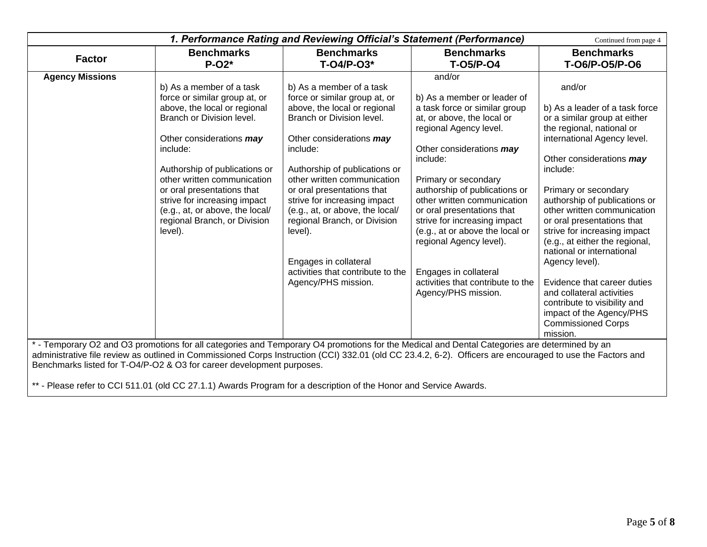| 1. Performance Rating and Reviewing Official's Statement (Performance)<br>Continued from page 4 |                                                                                                                                                                                                                                                                                                                                                                                     |                                                                                                                                                                                                                                                                                                                                                                                                                                                                 |                                                                                                                                                                                                                                                                                                                                                                                                                                                                                 |                                                                                                                                                                                                                                                                                                                                                                                                                                                                                                                                                                                      |
|-------------------------------------------------------------------------------------------------|-------------------------------------------------------------------------------------------------------------------------------------------------------------------------------------------------------------------------------------------------------------------------------------------------------------------------------------------------------------------------------------|-----------------------------------------------------------------------------------------------------------------------------------------------------------------------------------------------------------------------------------------------------------------------------------------------------------------------------------------------------------------------------------------------------------------------------------------------------------------|---------------------------------------------------------------------------------------------------------------------------------------------------------------------------------------------------------------------------------------------------------------------------------------------------------------------------------------------------------------------------------------------------------------------------------------------------------------------------------|--------------------------------------------------------------------------------------------------------------------------------------------------------------------------------------------------------------------------------------------------------------------------------------------------------------------------------------------------------------------------------------------------------------------------------------------------------------------------------------------------------------------------------------------------------------------------------------|
| <b>Factor</b>                                                                                   | <b>Benchmarks</b><br>$P-O2*$                                                                                                                                                                                                                                                                                                                                                        | <b>Benchmarks</b><br>$T-O4/P-O3*$                                                                                                                                                                                                                                                                                                                                                                                                                               | <b>Benchmarks</b><br><b>T-05/P-04</b>                                                                                                                                                                                                                                                                                                                                                                                                                                           | <b>Benchmarks</b><br>T-06/P-05/P-06                                                                                                                                                                                                                                                                                                                                                                                                                                                                                                                                                  |
| <b>Agency Missions</b>                                                                          | b) As a member of a task<br>force or similar group at, or<br>above, the local or regional<br>Branch or Division level.<br>Other considerations may<br>include:<br>Authorship of publications or<br>other written communication<br>or oral presentations that<br>strive for increasing impact<br>(e.g., at, or above, the local/<br>regional Branch, or Division<br>level).          | b) As a member of a task<br>force or similar group at, or<br>above, the local or regional<br>Branch or Division level.<br>Other considerations may<br>include:<br>Authorship of publications or<br>other written communication<br>or oral presentations that<br>strive for increasing impact<br>(e.g., at, or above, the local/<br>regional Branch, or Division<br>level).<br>Engages in collateral<br>activities that contribute to the<br>Agency/PHS mission. | and/or<br>b) As a member or leader of<br>a task force or similar group<br>at, or above, the local or<br>regional Agency level.<br>Other considerations may<br>include:<br>Primary or secondary<br>authorship of publications or<br>other written communication<br>or oral presentations that<br>strive for increasing impact<br>(e.g., at or above the local or<br>regional Agency level).<br>Engages in collateral<br>activities that contribute to the<br>Agency/PHS mission. | and/or<br>b) As a leader of a task force<br>or a similar group at either<br>the regional, national or<br>international Agency level.<br>Other considerations may<br>include:<br>Primary or secondary<br>authorship of publications or<br>other written communication<br>or oral presentations that<br>strive for increasing impact<br>(e.g., at either the regional,<br>national or international<br>Agency level).<br>Evidence that career duties<br>and collateral activities<br>contribute to visibility and<br>impact of the Agency/PHS<br><b>Commissioned Corps</b><br>mission. |
|                                                                                                 | * - Temporary O2 and O3 promotions for all categories and Temporary O4 promotions for the Medical and Dental Categories are determined by an<br>administrative file review as outlined in Commissioned Corps Instruction (CCI) 332.01 (old CC 23.4.2, 6-2). Officers are encouraged to use the Factors and<br>Benchmarks listed for T-O4/P-O2 & O3 for career development purposes. |                                                                                                                                                                                                                                                                                                                                                                                                                                                                 |                                                                                                                                                                                                                                                                                                                                                                                                                                                                                 |                                                                                                                                                                                                                                                                                                                                                                                                                                                                                                                                                                                      |

\*\* - Please refer to CCI 511.01 (old CC 27.1.1) Awards Program for a description of the Honor and Service Awards.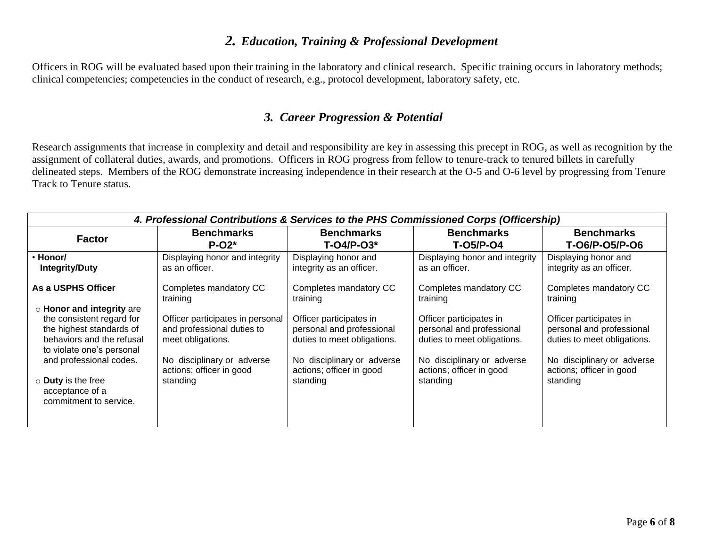# *2. Education, Training & Professional Development*

Officers in ROG will be evaluated based upon their training in the laboratory and clinical research. Specific training occurs in laboratory methods; clinical competencies; competencies in the conduct of research, e.g., protocol development, laboratory safety, etc.

## *3. Career Progression & Potential*

Research assignments that increase in complexity and detail and responsibility are key in assessing this precept in ROG, as well as recognition by the assignment of collateral duties, awards, and promotions. Officers in ROG progress from fellow to tenure-track to tenured billets in carefully delineated steps. Members of the ROG demonstrate increasing independence in their research at the O-5 and O-6 level by progressing from Tenure Track to Tenure status.

| 4. Professional Contributions & Services to the PHS Commissioned Corps (Officership)                                                                                                                                                             |                                                                                                                                                           |                                                                                                                                                           |                                                                                                                                                           |                                                                                                                                                           |
|--------------------------------------------------------------------------------------------------------------------------------------------------------------------------------------------------------------------------------------------------|-----------------------------------------------------------------------------------------------------------------------------------------------------------|-----------------------------------------------------------------------------------------------------------------------------------------------------------|-----------------------------------------------------------------------------------------------------------------------------------------------------------|-----------------------------------------------------------------------------------------------------------------------------------------------------------|
| <b>Factor</b>                                                                                                                                                                                                                                    | <b>Benchmarks</b>                                                                                                                                         | <b>Benchmarks</b>                                                                                                                                         | <b>Benchmarks</b>                                                                                                                                         | <b>Benchmarks</b>                                                                                                                                         |
|                                                                                                                                                                                                                                                  | $P-O2*$                                                                                                                                                   | $T-O4/P-O3*$                                                                                                                                              | <b>T-05/P-04</b>                                                                                                                                          | T-06/P-05/P-06                                                                                                                                            |
| · Honor/                                                                                                                                                                                                                                         | Displaying honor and integrity                                                                                                                            | Displaying honor and                                                                                                                                      | Displaying honor and integrity                                                                                                                            | Displaying honor and                                                                                                                                      |
| <b>Integrity/Duty</b>                                                                                                                                                                                                                            | as an officer.                                                                                                                                            | integrity as an officer.                                                                                                                                  | as an officer.                                                                                                                                            | integrity as an officer.                                                                                                                                  |
| As a USPHS Officer                                                                                                                                                                                                                               | Completes mandatory CC                                                                                                                                    | Completes mandatory CC                                                                                                                                    | Completes mandatory CC                                                                                                                                    | Completes mandatory CC                                                                                                                                    |
|                                                                                                                                                                                                                                                  | training                                                                                                                                                  | training                                                                                                                                                  | training                                                                                                                                                  | training                                                                                                                                                  |
| ○ Honor and integrity are<br>the consistent regard for<br>the highest standards of<br>behaviors and the refusal<br>to violate one's personal<br>and professional codes.<br>$\circ$ Duty is the free<br>acceptance of a<br>commitment to service. | Officer participates in personal<br>and professional duties to<br>meet obligations.<br>No disciplinary or adverse<br>actions; officer in good<br>standing | Officer participates in<br>personal and professional<br>duties to meet obligations.<br>No disciplinary or adverse<br>actions; officer in good<br>standing | Officer participates in<br>personal and professional<br>duties to meet obligations.<br>No disciplinary or adverse<br>actions; officer in good<br>standing | Officer participates in<br>personal and professional<br>duties to meet obligations.<br>No disciplinary or adverse<br>actions; officer in good<br>standing |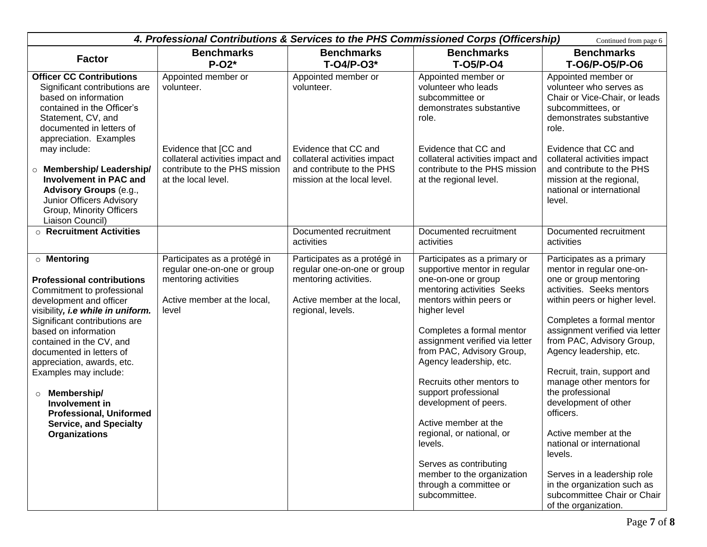| 4. Professional Contributions & Services to the PHS Commissioned Corps (Officership)<br>Continued from page 6                                                                                                                                                                                                                                                                                                                                                        |                                                                                                                             |                                                                                                                                          |                                                                                                                                                                                                                                                                                                                                                                                                                                                                                                                                      |                                                                                                                                                                                                                                                                                                                                                                                                                                                                                                                                                                                |
|----------------------------------------------------------------------------------------------------------------------------------------------------------------------------------------------------------------------------------------------------------------------------------------------------------------------------------------------------------------------------------------------------------------------------------------------------------------------|-----------------------------------------------------------------------------------------------------------------------------|------------------------------------------------------------------------------------------------------------------------------------------|--------------------------------------------------------------------------------------------------------------------------------------------------------------------------------------------------------------------------------------------------------------------------------------------------------------------------------------------------------------------------------------------------------------------------------------------------------------------------------------------------------------------------------------|--------------------------------------------------------------------------------------------------------------------------------------------------------------------------------------------------------------------------------------------------------------------------------------------------------------------------------------------------------------------------------------------------------------------------------------------------------------------------------------------------------------------------------------------------------------------------------|
| <b>Factor</b>                                                                                                                                                                                                                                                                                                                                                                                                                                                        | <b>Benchmarks</b><br>$P-O2*$                                                                                                | <b>Benchmarks</b><br>$T-O4/P-O3*$                                                                                                        | <b>Benchmarks</b><br><b>T-05/P-04</b>                                                                                                                                                                                                                                                                                                                                                                                                                                                                                                | <b>Benchmarks</b><br>T-06/P-05/P-06                                                                                                                                                                                                                                                                                                                                                                                                                                                                                                                                            |
| <b>Officer CC Contributions</b><br>Significant contributions are<br>based on information<br>contained in the Officer's<br>Statement, CV, and<br>documented in letters of<br>appreciation. Examples                                                                                                                                                                                                                                                                   | Appointed member or<br>volunteer.                                                                                           | Appointed member or<br>volunteer.                                                                                                        | Appointed member or<br>volunteer who leads<br>subcommittee or<br>demonstrates substantive<br>role.                                                                                                                                                                                                                                                                                                                                                                                                                                   | Appointed member or<br>volunteer who serves as<br>Chair or Vice-Chair, or leads<br>subcommittees, or<br>demonstrates substantive<br>role.                                                                                                                                                                                                                                                                                                                                                                                                                                      |
| may include:<br><b>O</b> Membership/Leadership/<br><b>Involvement in PAC and</b><br><b>Advisory Groups (e.g.,</b><br>Junior Officers Advisory<br>Group, Minority Officers<br>Liaison Council)                                                                                                                                                                                                                                                                        | Evidence that [CC and<br>collateral activities impact and<br>contribute to the PHS mission<br>at the local level.           | Evidence that CC and<br>collateral activities impact<br>and contribute to the PHS<br>mission at the local level.                         | Evidence that CC and<br>collateral activities impact and<br>contribute to the PHS mission<br>at the regional level.                                                                                                                                                                                                                                                                                                                                                                                                                  | Evidence that CC and<br>collateral activities impact<br>and contribute to the PHS<br>mission at the regional,<br>national or international<br>level.                                                                                                                                                                                                                                                                                                                                                                                                                           |
| $\circ$ Recruitment Activities                                                                                                                                                                                                                                                                                                                                                                                                                                       |                                                                                                                             | Documented recruitment<br>activities                                                                                                     | Documented recruitment<br>activities                                                                                                                                                                                                                                                                                                                                                                                                                                                                                                 | Documented recruitment<br>activities                                                                                                                                                                                                                                                                                                                                                                                                                                                                                                                                           |
| <b>O</b> Mentoring<br><b>Professional contributions</b><br>Commitment to professional<br>development and officer<br>visibility, i.e while in uniform.<br>Significant contributions are<br>based on information<br>contained in the CV, and<br>documented in letters of<br>appreciation, awards, etc.<br>Examples may include:<br>Membership/<br>$\circ$<br>Involvement in<br><b>Professional, Uniformed</b><br><b>Service, and Specialty</b><br><b>Organizations</b> | Participates as a protégé in<br>regular one-on-one or group<br>mentoring activities<br>Active member at the local,<br>level | Participates as a protégé in<br>regular one-on-one or group<br>mentoring activities.<br>Active member at the local,<br>regional, levels. | Participates as a primary or<br>supportive mentor in regular<br>one-on-one or group<br>mentoring activities Seeks<br>mentors within peers or<br>higher level<br>Completes a formal mentor<br>assignment verified via letter<br>from PAC, Advisory Group,<br>Agency leadership, etc.<br>Recruits other mentors to<br>support professional<br>development of peers.<br>Active member at the<br>regional, or national, or<br>levels.<br>Serves as contributing<br>member to the organization<br>through a committee or<br>subcommittee. | Participates as a primary<br>mentor in regular one-on-<br>one or group mentoring<br>activities. Seeks mentors<br>within peers or higher level.<br>Completes a formal mentor<br>assignment verified via letter<br>from PAC, Advisory Group,<br>Agency leadership, etc.<br>Recruit, train, support and<br>manage other mentors for<br>the professional<br>development of other<br>officers.<br>Active member at the<br>national or international<br>levels.<br>Serves in a leadership role<br>in the organization such as<br>subcommittee Chair or Chair<br>of the organization. |